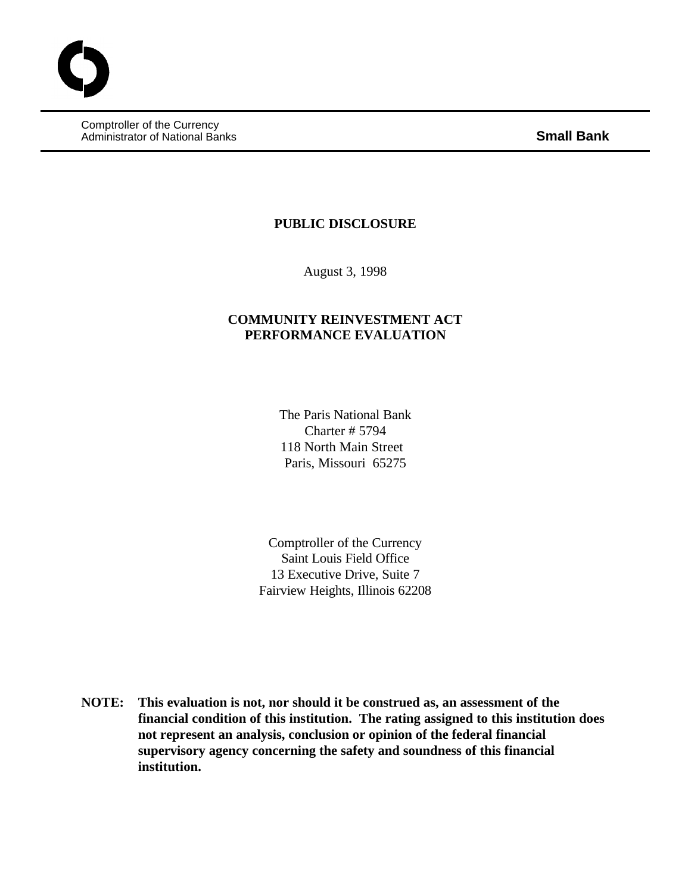Comptroller of the Currency Administrator of National Banks **Small Bank**

## **PUBLIC DISCLOSURE**

August 3, 1998

# **COMMUNITY REINVESTMENT ACT PERFORMANCE EVALUATION**

The Paris National Bank Charter # 5794 118 North Main Street Paris, Missouri 65275

Comptroller of the Currency Saint Louis Field Office 13 Executive Drive, Suite 7 Fairview Heights, Illinois 62208

**NOTE: This evaluation is not, nor should it be construed as, an assessment of the financial condition of this institution. The rating assigned to this institution does not represent an analysis, conclusion or opinion of the federal financial supervisory agency concerning the safety and soundness of this financial institution.**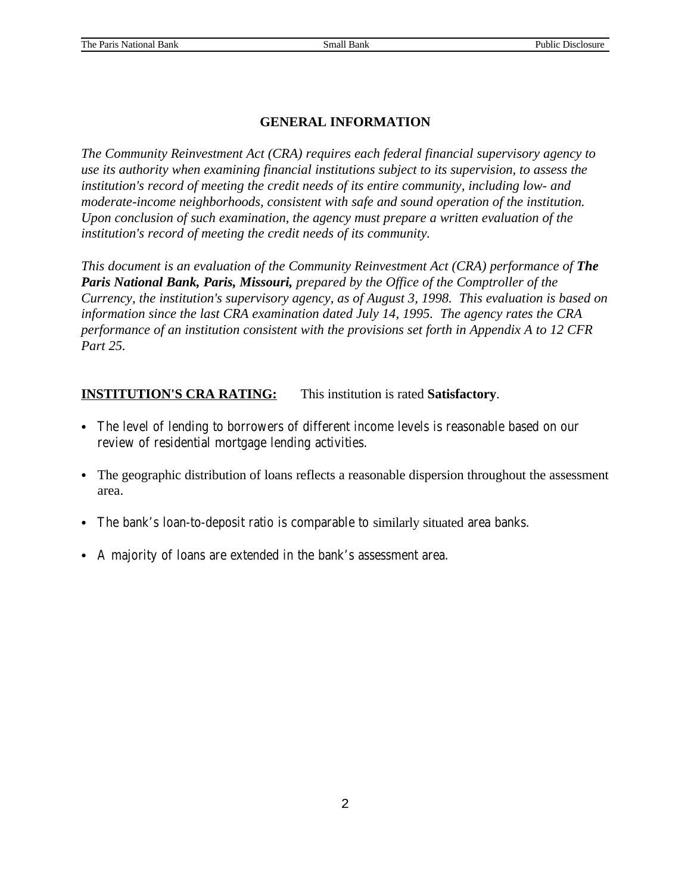### **GENERAL INFORMATION**

*The Community Reinvestment Act (CRA) requires each federal financial supervisory agency to use its authority when examining financial institutions subject to its supervision, to assess the institution's record of meeting the credit needs of its entire community, including low- and moderate-income neighborhoods, consistent with safe and sound operation of the institution. Upon conclusion of such examination, the agency must prepare a written evaluation of the institution's record of meeting the credit needs of its community.* 

*This document is an evaluation of the Community Reinvestment Act (CRA) performance of The Paris National Bank, Paris, Missouri, prepared by the Office of the Comptroller of the Currency, the institution's supervisory agency, as of August 3, 1998. This evaluation is based on information since the last CRA examination dated July 14, 1995. The agency rates the CRA performance of an institution consistent with the provisions set forth in Appendix A to 12 CFR Part 25.*

## **INSTITUTION'S CRA RATING:** This institution is rated **Satisfactory**.

- The level of lending to borrowers of different income levels is reasonable based on our review of residential mortgage lending activities.
- The geographic distribution of loans reflects a reasonable dispersion throughout the assessment area.
- The bank's loan-to-deposit ratio is comparable to similarly situated area banks.
- A majority of loans are extended in the bank's assessment area.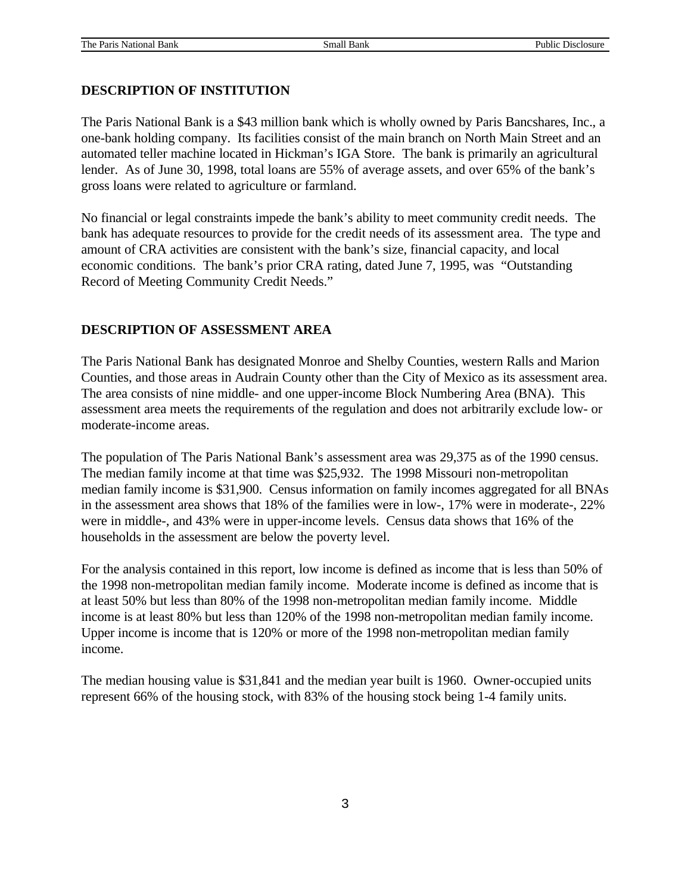### **DESCRIPTION OF INSTITUTION**

The Paris National Bank is a \$43 million bank which is wholly owned by Paris Bancshares, Inc., a one-bank holding company. Its facilities consist of the main branch on North Main Street and an automated teller machine located in Hickman's IGA Store. The bank is primarily an agricultural lender. As of June 30, 1998, total loans are 55% of average assets, and over 65% of the bank's gross loans were related to agriculture or farmland.

No financial or legal constraints impede the bank's ability to meet community credit needs. The bank has adequate resources to provide for the credit needs of its assessment area. The type and amount of CRA activities are consistent with the bank's size, financial capacity, and local economic conditions. The bank's prior CRA rating, dated June 7, 1995, was "Outstanding Record of Meeting Community Credit Needs."

### **DESCRIPTION OF ASSESSMENT AREA**

The Paris National Bank has designated Monroe and Shelby Counties, western Ralls and Marion Counties, and those areas in Audrain County other than the City of Mexico as its assessment area. The area consists of nine middle- and one upper-income Block Numbering Area (BNA). This assessment area meets the requirements of the regulation and does not arbitrarily exclude low- or moderate-income areas.

The population of The Paris National Bank's assessment area was 29,375 as of the 1990 census. The median family income at that time was \$25,932. The 1998 Missouri non-metropolitan median family income is \$31,900. Census information on family incomes aggregated for all BNAs in the assessment area shows that 18% of the families were in low-, 17% were in moderate-, 22% were in middle-, and 43% were in upper-income levels. Census data shows that 16% of the households in the assessment are below the poverty level.

For the analysis contained in this report, low income is defined as income that is less than 50% of the 1998 non-metropolitan median family income. Moderate income is defined as income that is at least 50% but less than 80% of the 1998 non-metropolitan median family income. Middle income is at least 80% but less than 120% of the 1998 non-metropolitan median family income. Upper income is income that is 120% or more of the 1998 non-metropolitan median family income.

The median housing value is \$31,841 and the median year built is 1960. Owner-occupied units represent 66% of the housing stock, with 83% of the housing stock being 1-4 family units.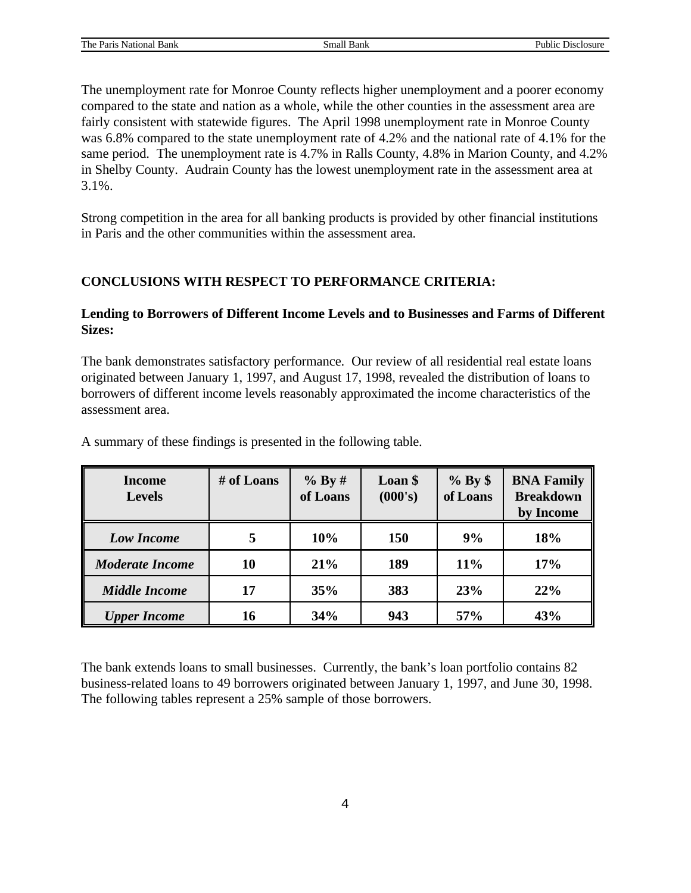The unemployment rate for Monroe County reflects higher unemployment and a poorer economy compared to the state and nation as a whole, while the other counties in the assessment area are fairly consistent with statewide figures. The April 1998 unemployment rate in Monroe County was 6.8% compared to the state unemployment rate of 4.2% and the national rate of 4.1% for the same period. The unemployment rate is 4.7% in Ralls County, 4.8% in Marion County, and 4.2% in Shelby County. Audrain County has the lowest unemployment rate in the assessment area at 3.1%.

Strong competition in the area for all banking products is provided by other financial institutions in Paris and the other communities within the assessment area.

## **CONCLUSIONS WITH RESPECT TO PERFORMANCE CRITERIA:**

### **Lending to Borrowers of Different Income Levels and to Businesses and Farms of Different Sizes:**

The bank demonstrates satisfactory performance. Our review of all residential real estate loans originated between January 1, 1997, and August 17, 1998, revealed the distribution of loans to borrowers of different income levels reasonably approximated the income characteristics of the assessment area.

| <b>Income</b><br><b>Levels</b> | # of Loans | % By #<br>of Loans | Loan \$<br>(000's) |     | <b>BNA Family</b><br><b>Breakdown</b><br>by Income |  |
|--------------------------------|------------|--------------------|--------------------|-----|----------------------------------------------------|--|
| <b>Low Income</b>              | 5          | 10%                | <b>150</b>         | 9%  | 18%                                                |  |
| <b>Moderate Income</b>         | 10         | 21%                | 189                | 11% | 17%                                                |  |
| <b>Middle Income</b>           | 17         | 35%                | 383                | 23% | 22%                                                |  |
| <b>Upper Income</b>            | 16         | 34%                | 943                | 57% | 43%                                                |  |

A summary of these findings is presented in the following table.

The bank extends loans to small businesses. Currently, the bank's loan portfolio contains 82 business-related loans to 49 borrowers originated between January 1, 1997, and June 30, 1998. The following tables represent a 25% sample of those borrowers.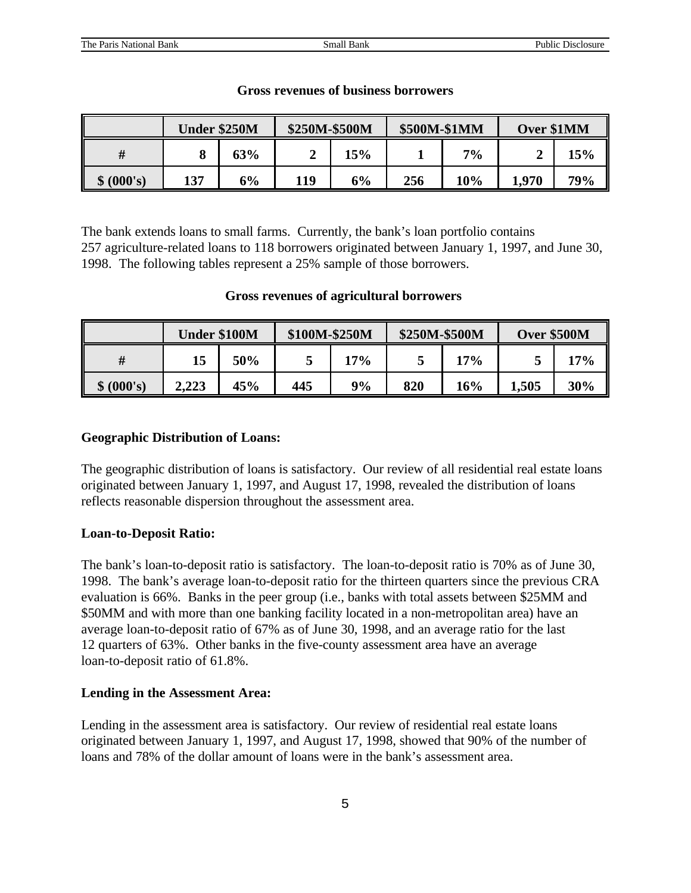|            | <b>Under \$250M</b> |     | \$250M-\$500M |     | \$500M-\$1MM |       | Over \$1MM |     |
|------------|---------------------|-----|---------------|-----|--------------|-------|------------|-----|
| #          |                     | 63% |               | 15% |              | $7\%$ |            | 15% |
| \$ (000's) | 137                 | 6%  | 119           | 6%  | 256          | 10%   | 1,970      | 79% |

#### **Gross revenues of business borrowers**

The bank extends loans to small farms. Currently, the bank's loan portfolio contains 257 agriculture-related loans to 118 borrowers originated between January 1, 1997, and June 30, 1998. The following tables represent a 25% sample of those borrowers.

#### **Gross revenues of agricultural borrowers**

|            | <b>Under \$100M</b> |     | \$100M-\$250M |     | \$250M-\$500M |     | <b>Over \$500M</b> |     |
|------------|---------------------|-----|---------------|-----|---------------|-----|--------------------|-----|
| #          | 15                  | 50% |               | 17% |               | 17% |                    | 17% |
| \$ (000's) | 2,223               | 45% | 445           | 9%  | 820           | 16% | 1,505              | 30% |

#### **Geographic Distribution of Loans:**

The geographic distribution of loans is satisfactory. Our review of all residential real estate loans originated between January 1, 1997, and August 17, 1998, revealed the distribution of loans reflects reasonable dispersion throughout the assessment area.

#### **Loan-to-Deposit Ratio:**

The bank's loan-to-deposit ratio is satisfactory. The loan-to-deposit ratio is 70% as of June 30, 1998. The bank's average loan-to-deposit ratio for the thirteen quarters since the previous CRA evaluation is 66%. Banks in the peer group (i.e., banks with total assets between \$25MM and \$50MM and with more than one banking facility located in a non-metropolitan area) have an average loan-to-deposit ratio of 67% as of June 30, 1998, and an average ratio for the last 12 quarters of 63%. Other banks in the five-county assessment area have an average loan-to-deposit ratio of 61.8%.

#### **Lending in the Assessment Area:**

Lending in the assessment area is satisfactory. Our review of residential real estate loans originated between January 1, 1997, and August 17, 1998, showed that 90% of the number of loans and 78% of the dollar amount of loans were in the bank's assessment area.